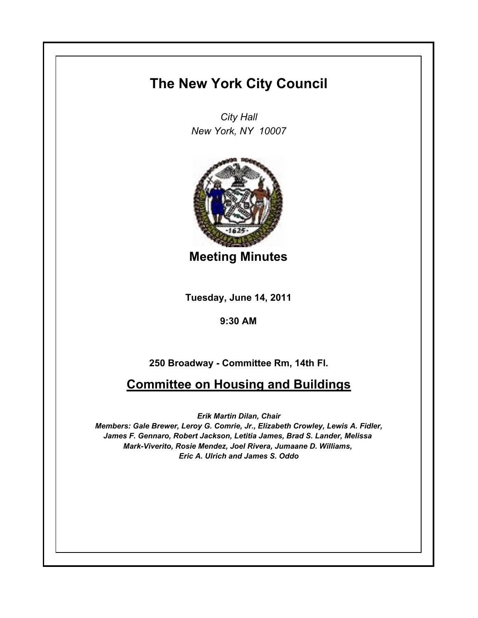## **The New York City Council**

*City Hall New York, NY 10007*



**Meeting Minutes**

**Tuesday, June 14, 2011**

**9:30 AM**

## **250 Broadway - Committee Rm, 14th Fl.**

## **Committee on Housing and Buildings**

*Erik Martin Dilan, Chair*

*Members: Gale Brewer, Leroy G. Comrie, Jr., Elizabeth Crowley, Lewis A. Fidler, James F. Gennaro, Robert Jackson, Letitia James, Brad S. Lander, Melissa Mark-Viverito, Rosie Mendez, Joel Rivera, Jumaane D. Williams, Eric A. Ulrich and James S. Oddo*